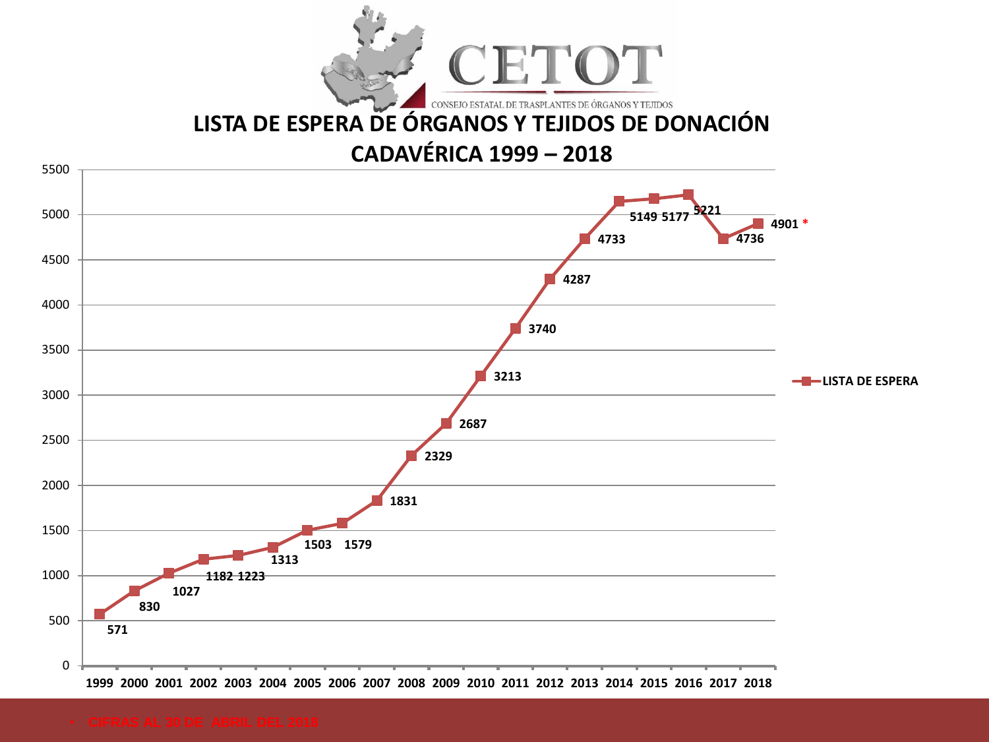

# **[LISTA DE ESPERA DE ÓRGANOS Y TEJIDOS DE DONACIÓN](GRAFICOS.xls)**

## **CADAVÉRICA 1999 – 2018**

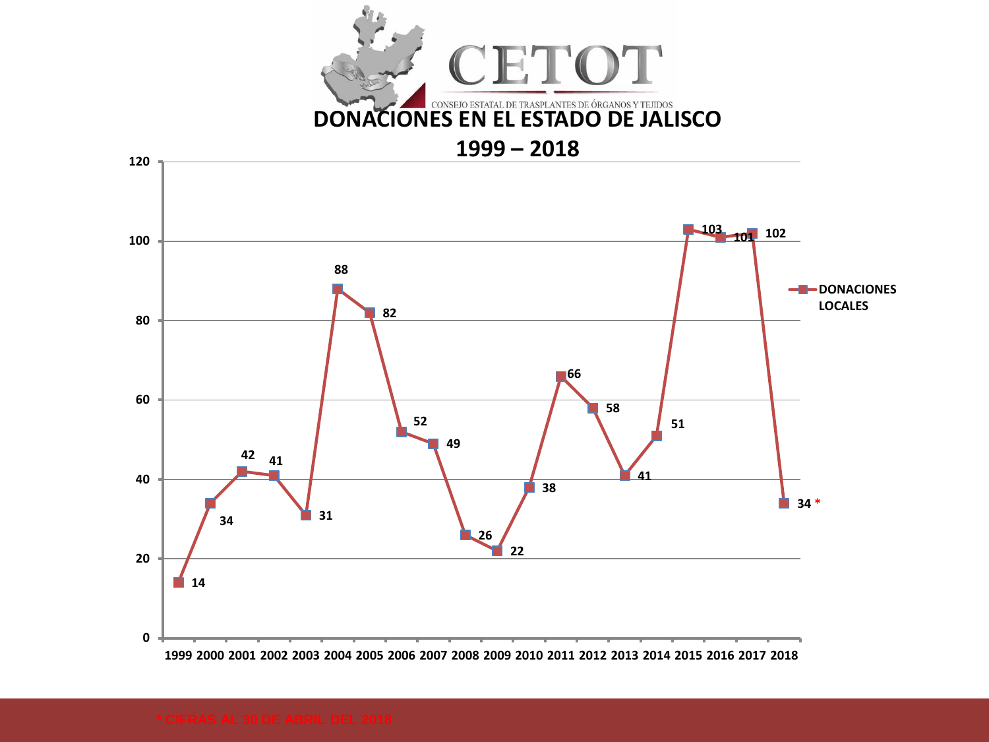

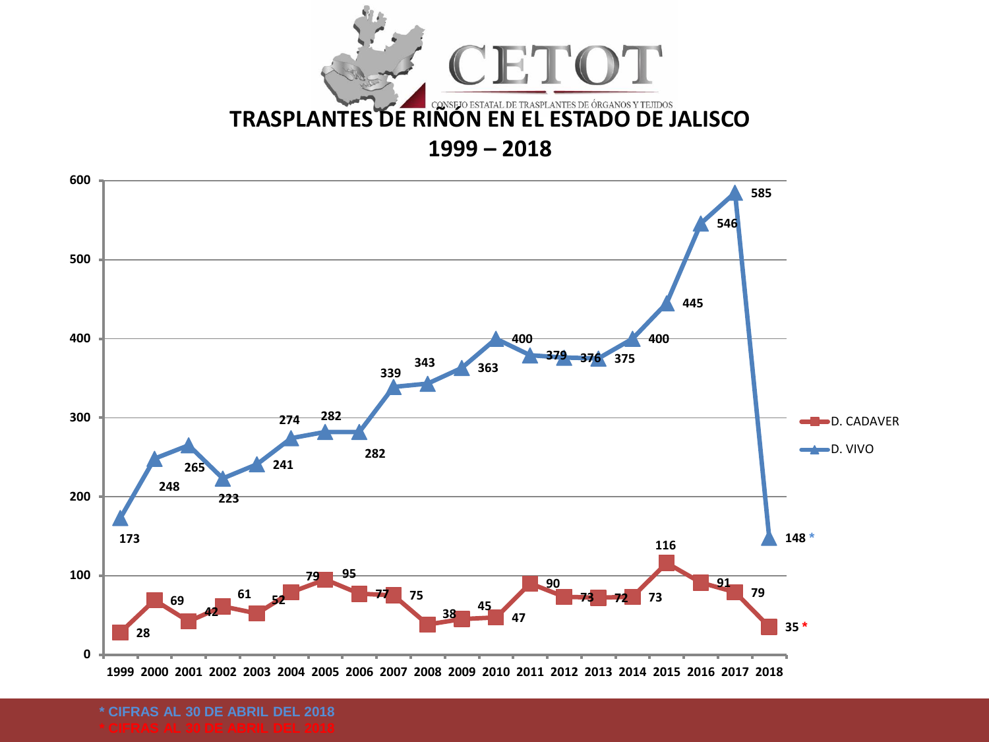



**\* CIFRAS AL 30 DE ABRIL DEL 2018**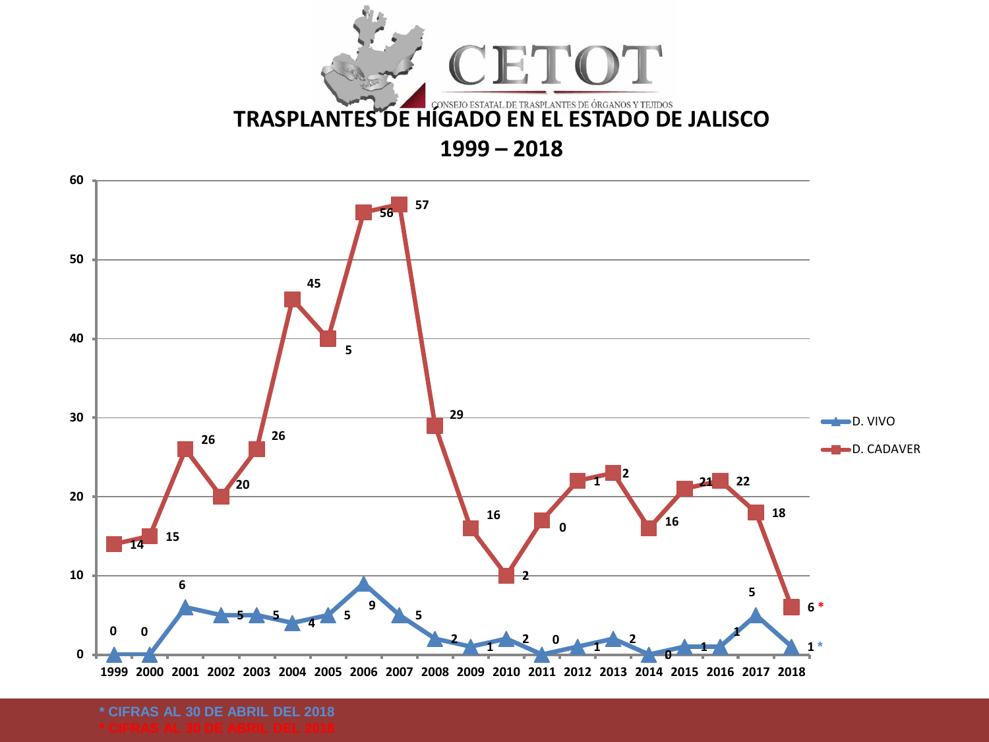



**\* CIFRAS AL 30 DE ABRIL DEL 2018**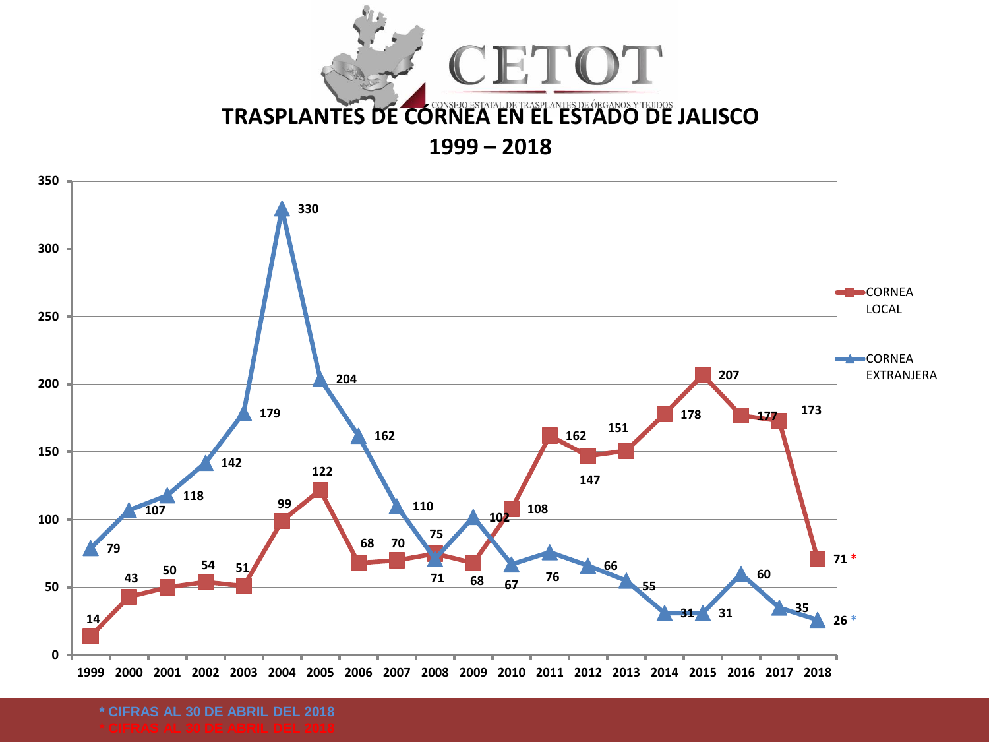



**\* CIFRAS AL 30 DE ABRIL DEL 2018**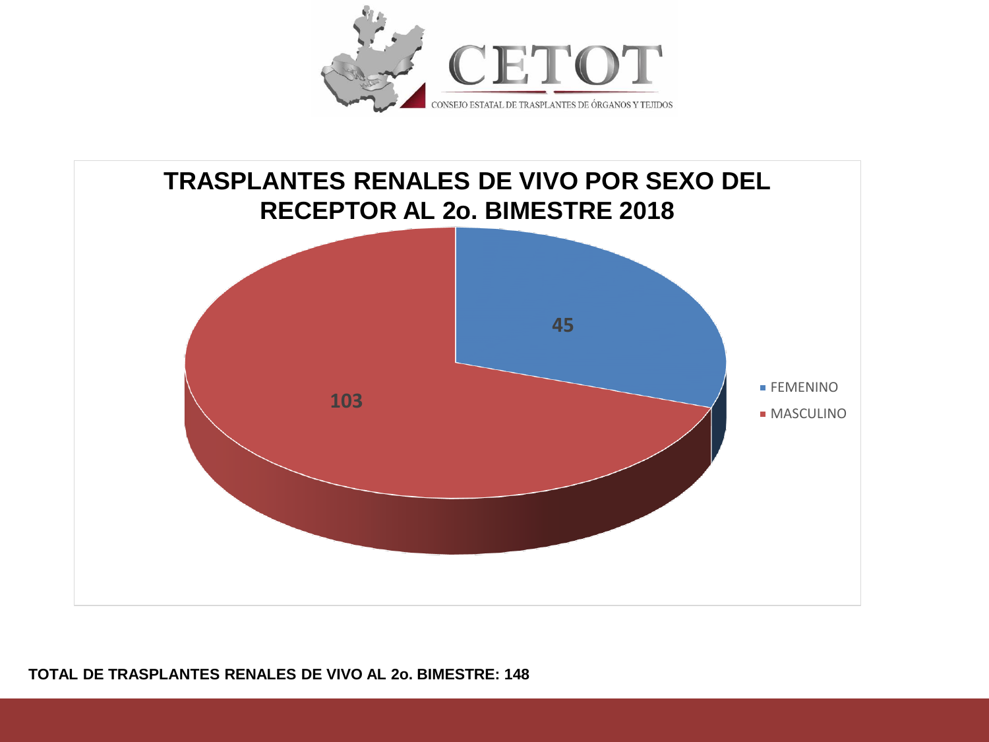



#### **TOTAL DE TRASPLANTES RENALES DE VIVO AL 2o. BIMESTRE: 148**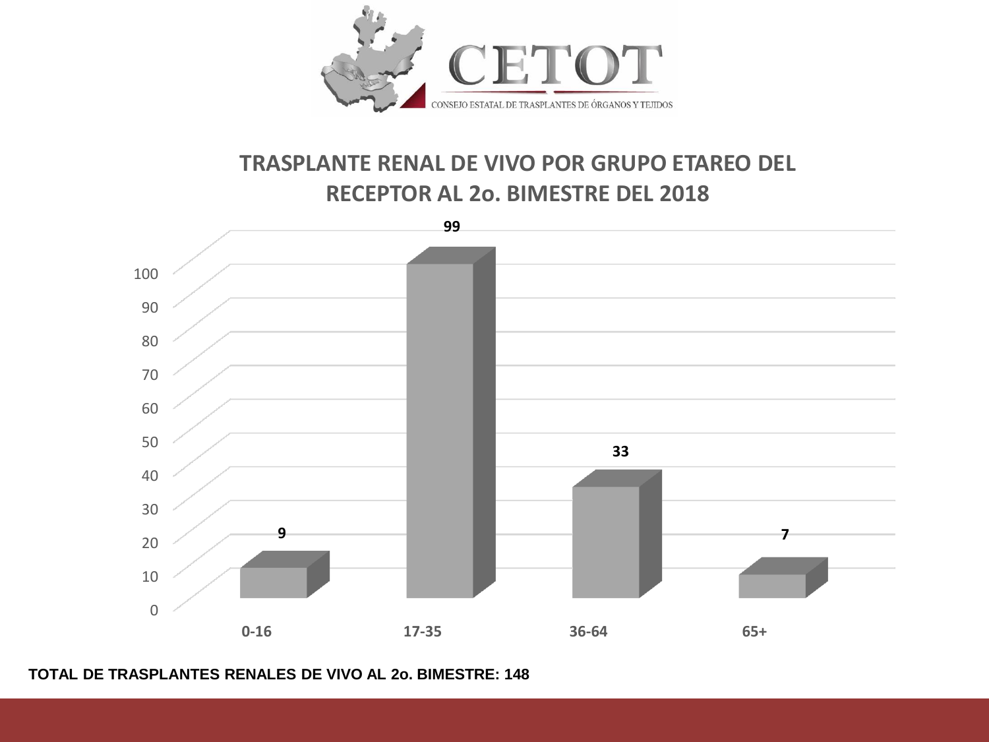

## **TRASPLANTE RENAL DE VIVO POR GRUPO ETAREO DEL RECEPTOR AL 2o. BIMESTRE DEL 2018**



#### **TOTAL DE TRASPLANTES RENALES DE VIVO AL 2o. BIMESTRE: 148**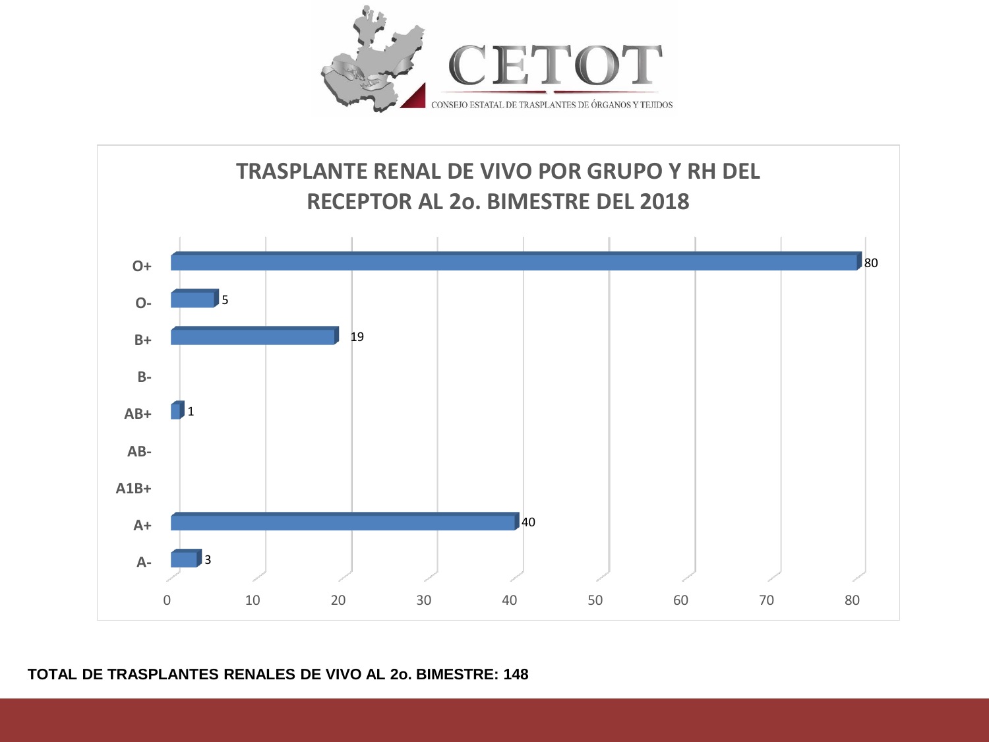



### **TOTAL DE TRASPLANTES RENALES DE VIVO AL 2o. BIMESTRE: 148**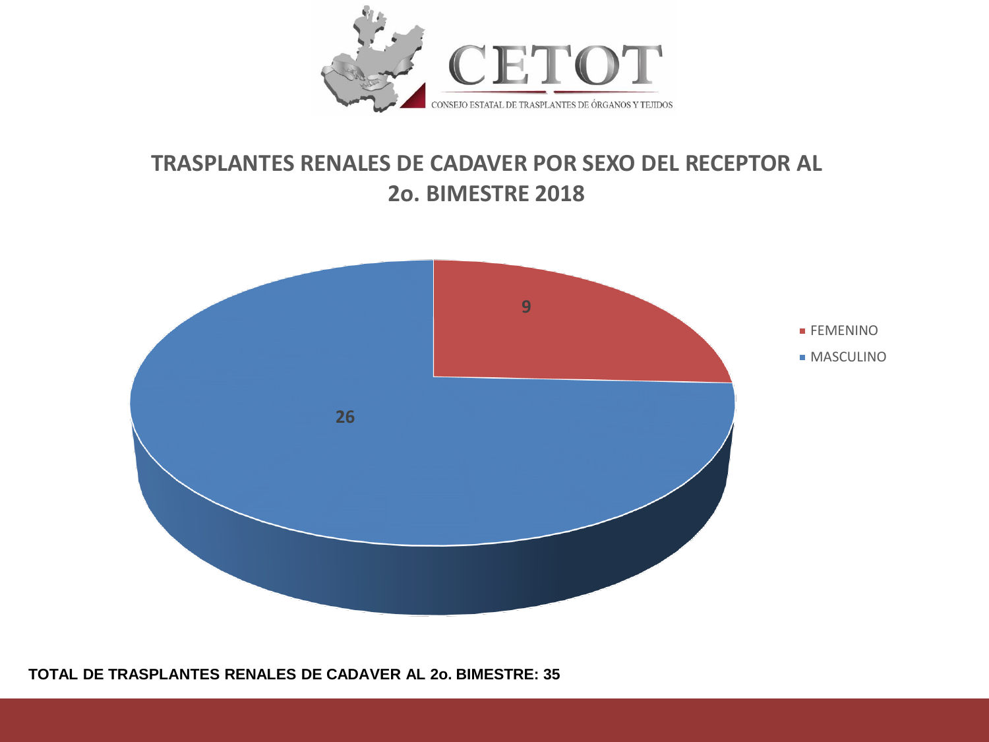

## **TRASPLANTES RENALES DE CADAVER POR SEXO DEL RECEPTOR AL 2o. BIMESTRE 2018**



#### **TOTAL DE TRASPLANTES RENALES DE CADAVER AL 2o. BIMESTRE: 35**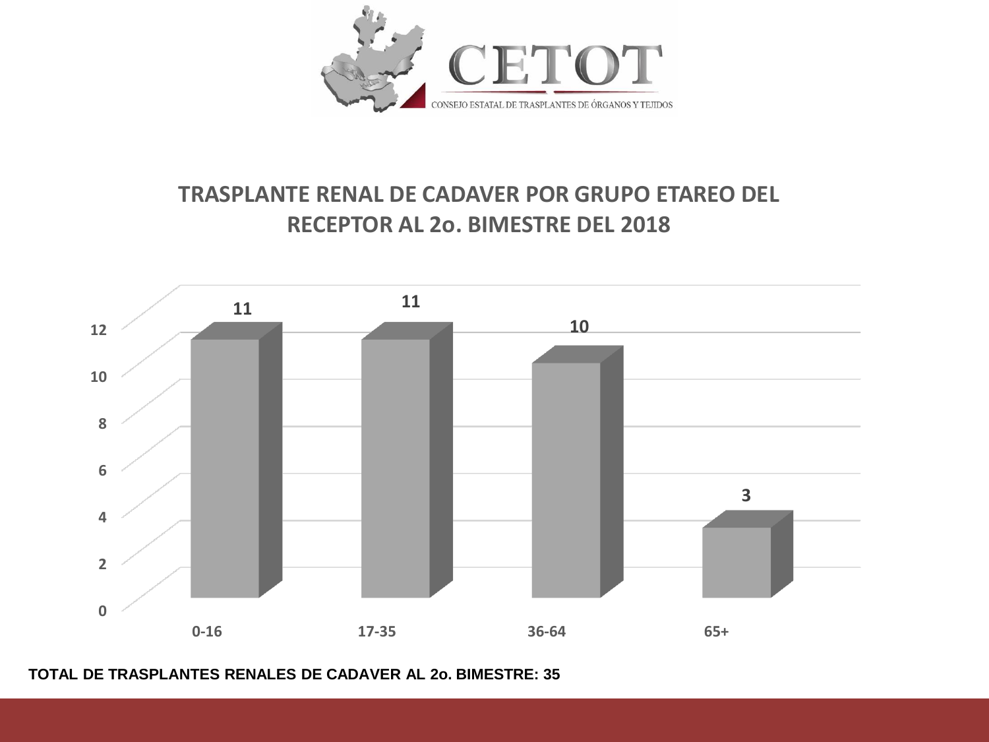

# **TRASPLANTE RENAL DE CADAVER POR GRUPO ETAREO DEL RECEPTOR AL 2o. BIMESTRE DEL 2018**



**TOTAL DE TRASPLANTES RENALES DE CADAVER AL 2o. BIMESTRE: 35**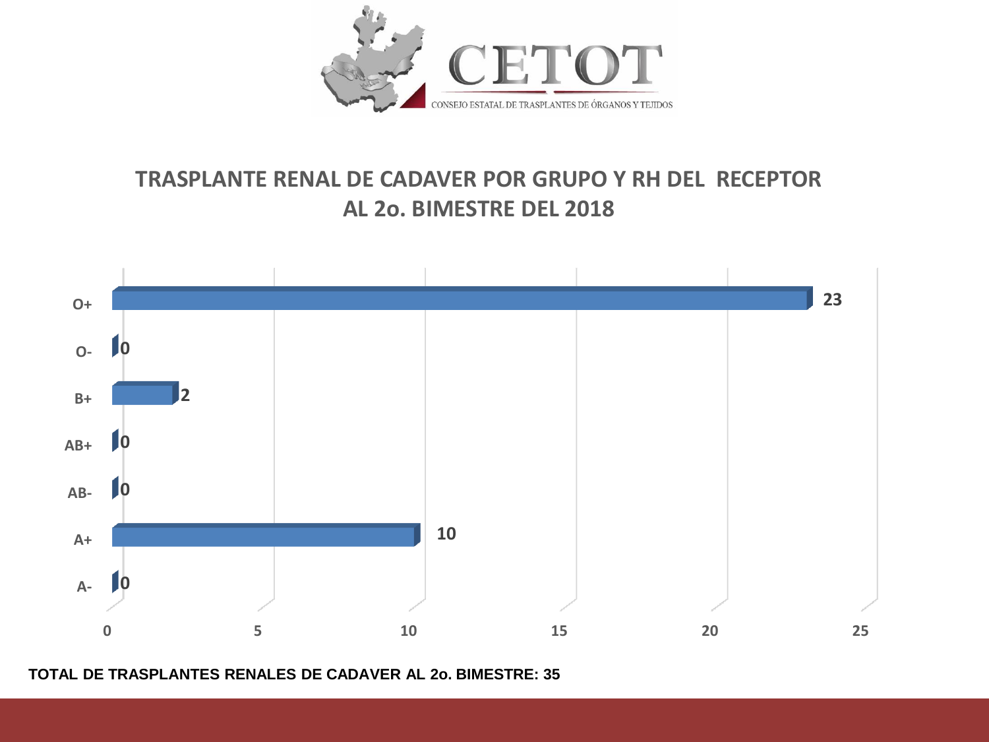

# **TRASPLANTE RENAL DE CADAVER POR GRUPO Y RH DEL RECEPTOR AL 2o. BIMESTRE DEL 2018**



**TOTAL DE TRASPLANTES RENALES DE CADAVER AL 2o. BIMESTRE: 35**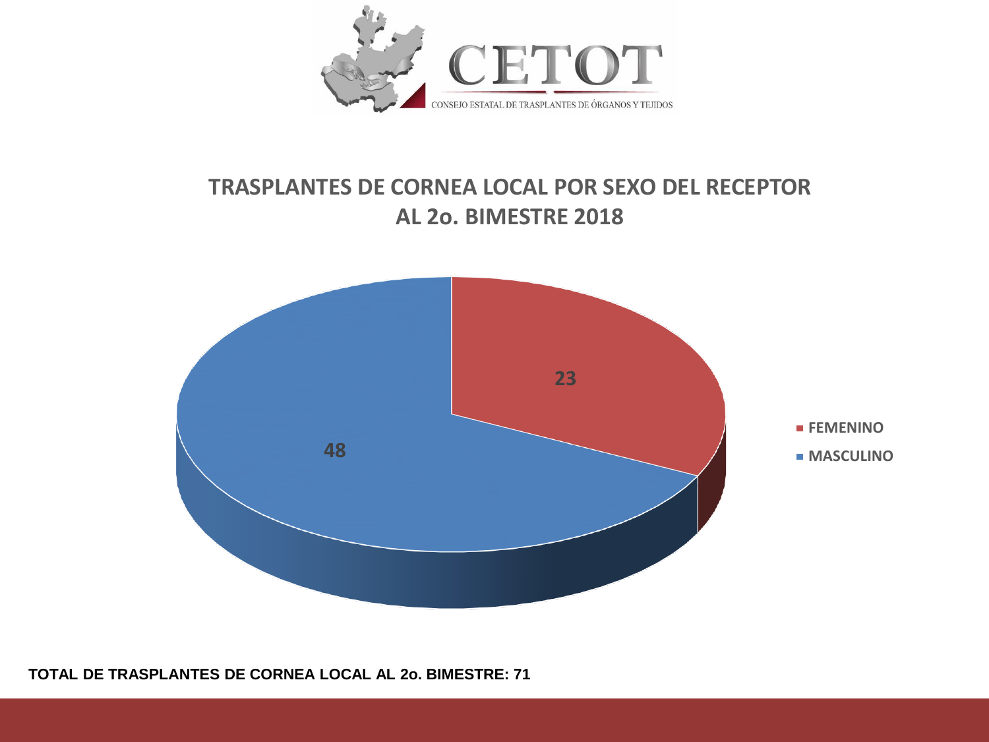

## **TRASPLANTES DE CORNEA LOCAL POR SEXO DEL RECEPTOR AL 2o. BIMESTRE 2018**

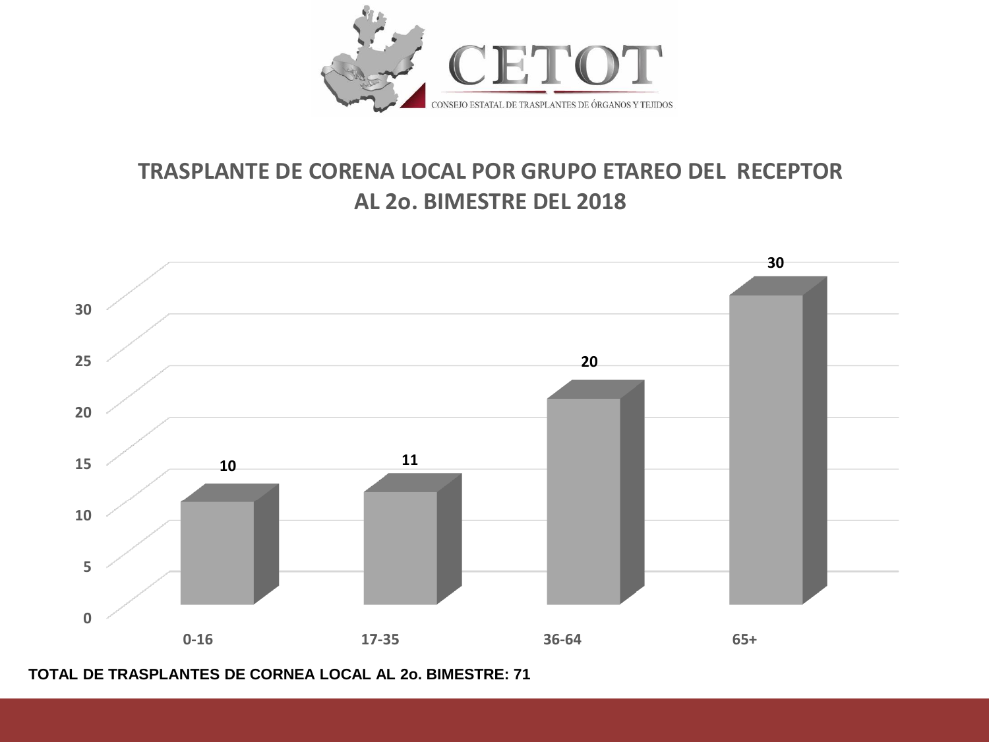

## **TRASPLANTE DE CORENA LOCAL POR GRUPO ETAREO DEL RECEPTOR AL 2o. BIMESTRE DEL 2018**



**TOTAL DE TRASPLANTES DE CORNEA LOCAL AL 2o. BIMESTRE: 71**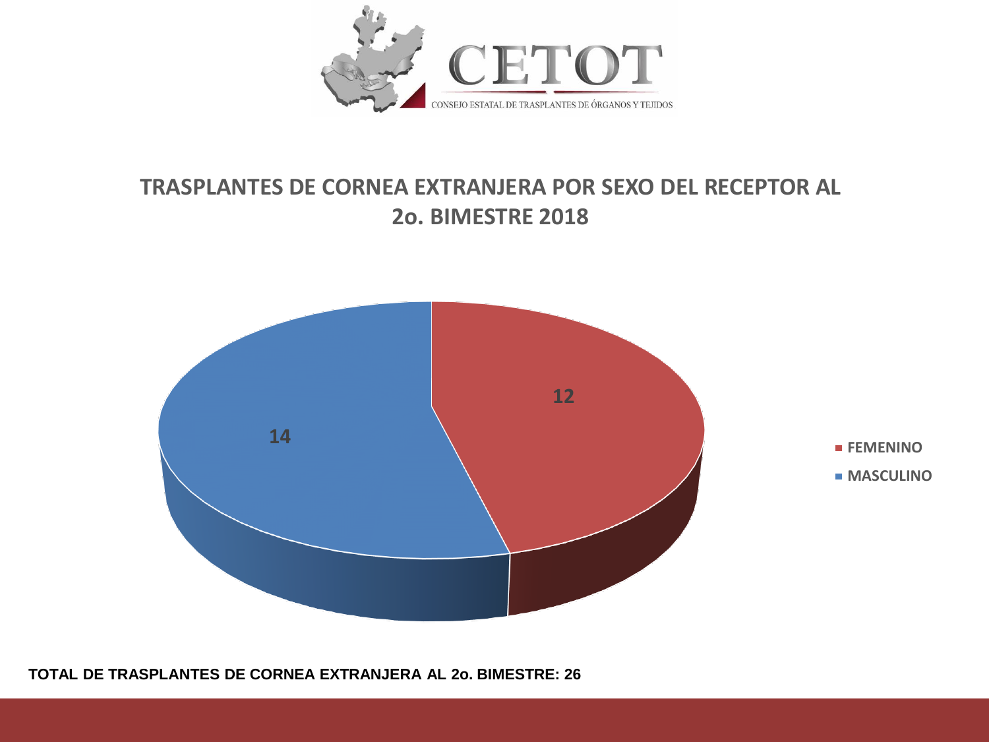

## **TRASPLANTES DE CORNEA EXTRANJERA POR SEXO DEL RECEPTOR AL 2o. BIMESTRE 2018**



**TOTAL DE TRASPLANTES DE CORNEA EXTRANJERA AL 2o. BIMESTRE: 26**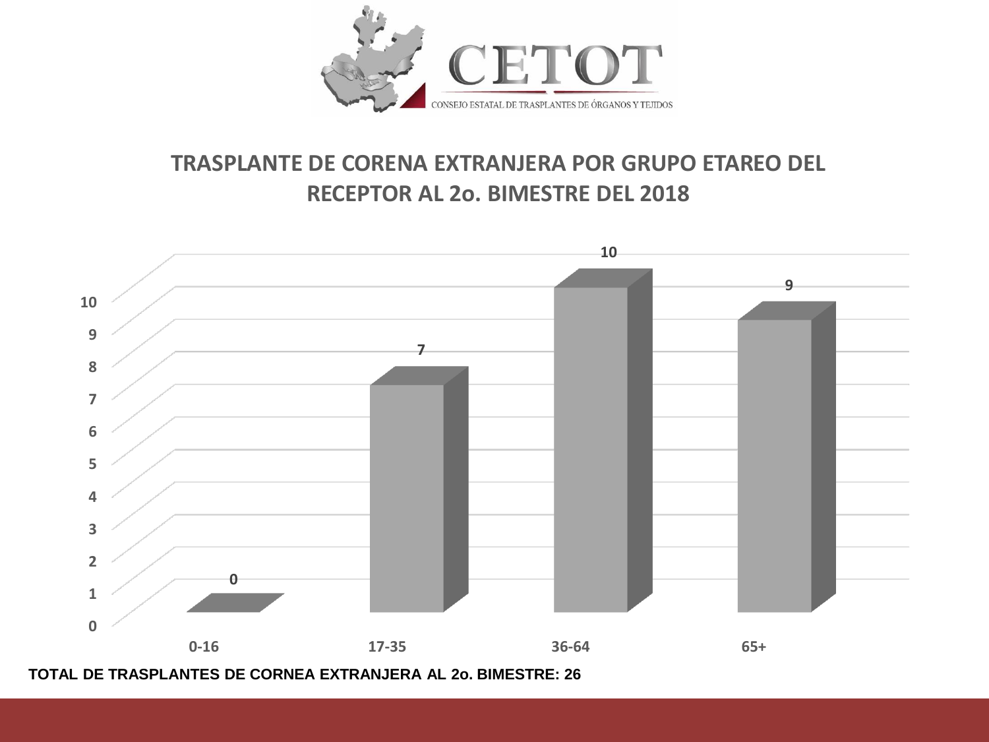

## **TRASPLANTE DE CORENA EXTRANJERA POR GRUPO ETAREO DEL RECEPTOR AL 2o. BIMESTRE DEL 2018**



**TOTAL DE TRASPLANTES DE CORNEA EXTRANJERA AL 2o. BIMESTRE: 26**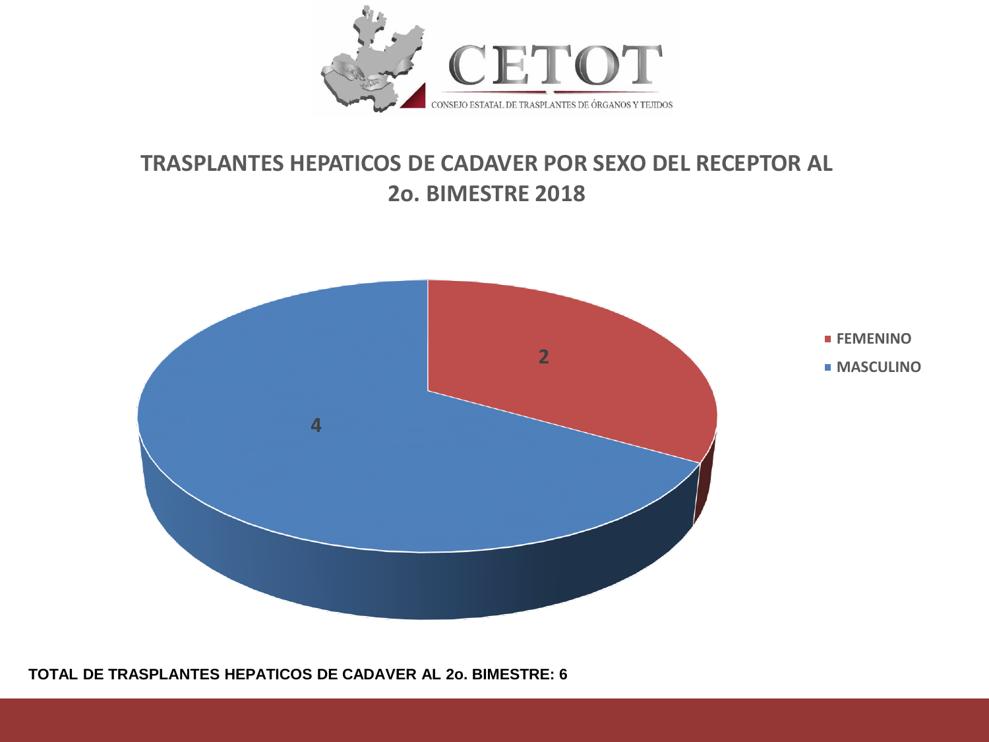

## **TRASPLANTES HEPATICOS DE CADAVER POR SEXO DEL RECEPTOR AL 2o. BIMESTRE 2018**



**TOTAL DE TRASPLANTES HEPATICOS DE CADAVER AL 2o. BIMESTRE: 6**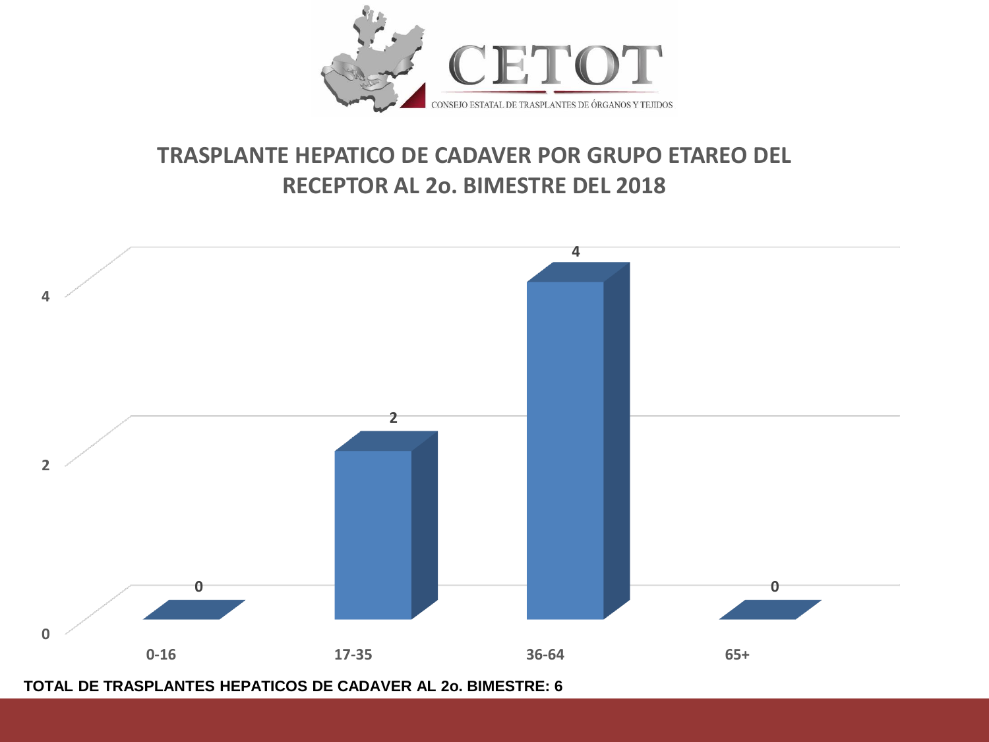

## **TRASPLANTE HEPATICO DE CADAVER POR GRUPO ETAREO DEL RECEPTOR AL 2o. BIMESTRE DEL 2018**



**TOTAL DE TRASPLANTES HEPATICOS DE CADAVER AL 2o. BIMESTRE: 6**